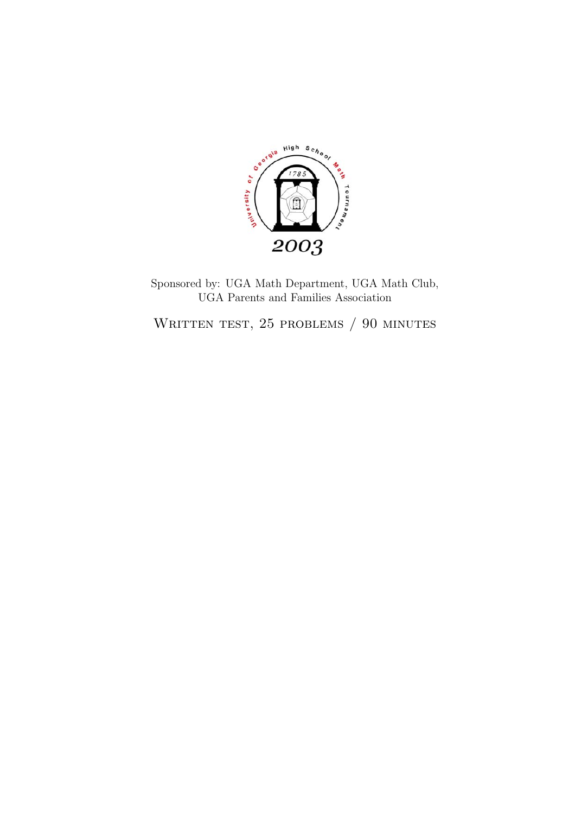

Sponsored by: UGA Math Department, UGA Math Club, UGA Parents and Families Association

WRITTEN TEST, 25 PROBLEMS / 90 MINUTES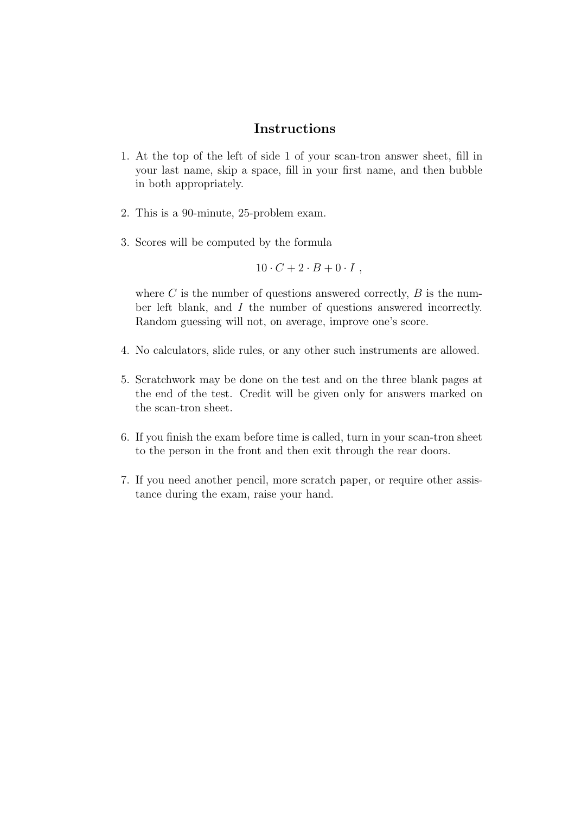## **Instructions**

- 1. At the top of the left of side 1 of your scan-tron answer sheet, fill in your last name, skip a space, fill in your first name, and then bubble in both appropriately.
- 2. This is a 90-minute, 25-problem exam.
- 3. Scores will be computed by the formula

$$
10 \cdot C + 2 \cdot B + 0 \cdot I \; ,
$$

where  $C$  is the number of questions answered correctly,  $B$  is the number left blank, and I the number of questions answered incorrectly. Random guessing will not, on average, improve one's score.

- 4. No calculators, slide rules, or any other such instruments are allowed.
- 5. Scratchwork may be done on the test and on the three blank pages at the end of the test. Credit will be given only for answers marked on the scan-tron sheet.
- 6. If you finish the exam before time is called, turn in your scan-tron sheet to the person in the front and then exit through the rear doors.
- 7. If you need another pencil, more scratch paper, or require other assistance during the exam, raise your hand.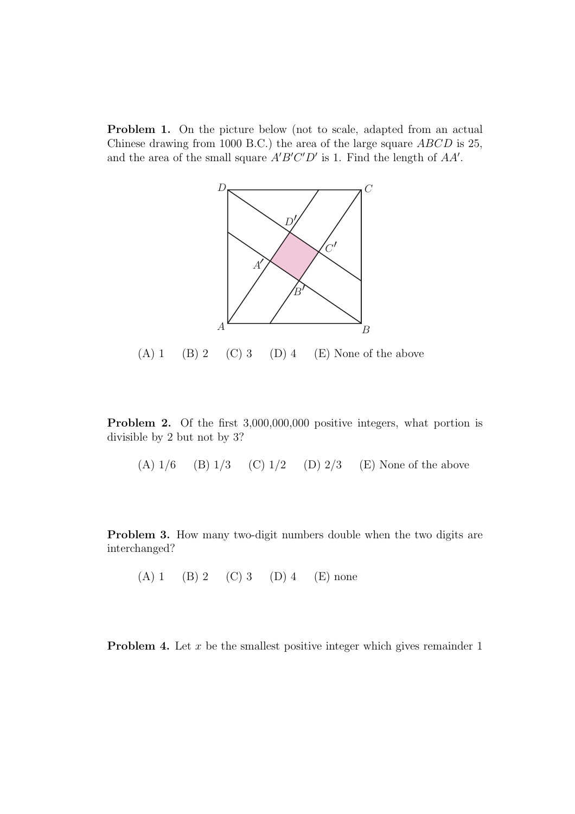**Problem 1.** On the picture below (not to scale, adapted from an actual Chinese drawing from 1000 B.C.) the area of the large square ABCD is 25, and the area of the small square  $A'B'C'D'$  is 1. Find the length of  $AA'$ .



**Problem 2.** Of the first 3,000,000,000 positive integers, what portion is divisible by 2 but not by 3?

(A)  $1/6$  (B)  $1/3$  (C)  $1/2$  (D)  $2/3$  (E) None of the above

**Problem 3.** How many two-digit numbers double when the two digits are interchanged?

(A) 1 (B) 2 (C) 3 (D) 4 (E) none

**Problem 4.** Let x be the smallest positive integer which gives remainder 1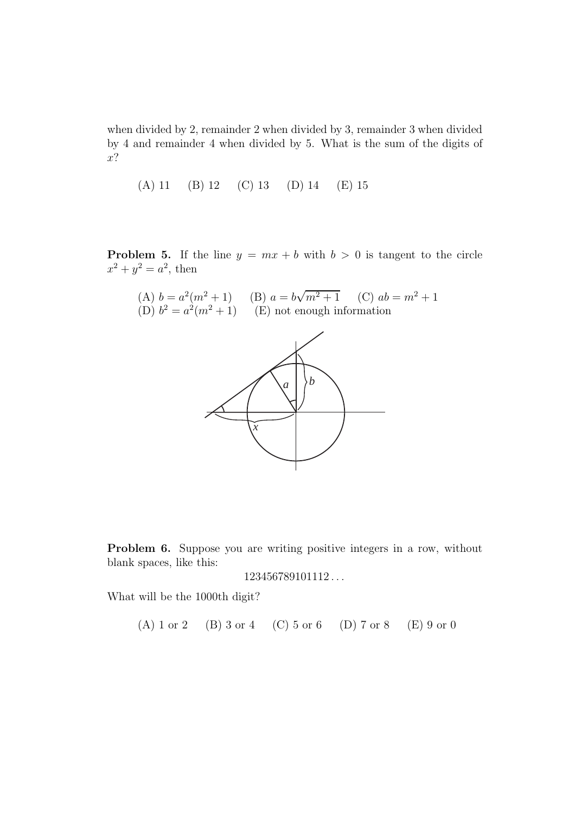when divided by 2, remainder 2 when divided by 3, remainder 3 when divided by 4 and remainder 4 when divided by 5. What is the sum of the digits of x?

(A) 11 (B) 12 (C) 13 (D) 14 (E) 15

**Problem 5.** If the line  $y = mx + b$  with  $b > 0$  is tangent to the circle  $x^2 + y^2 = a^2$ , then

(A) 
$$
b = a^2(m^2 + 1)
$$
 (B)  $a = b\sqrt{m^2 + 1}$  (C)  $ab = m^2 + 1$   
(D)  $b^2 = a^2(m^2 + 1)$  (E) not enough information



**Problem 6.** Suppose you are writing positive integers in a row, without blank spaces, like this:

$$
123456789101112...
$$

What will be the 1000th digit?

(A) 1 or 2 (B) 3 or 4 (C) 5 or 6 (D) 7 or 8 (E) 9 or 0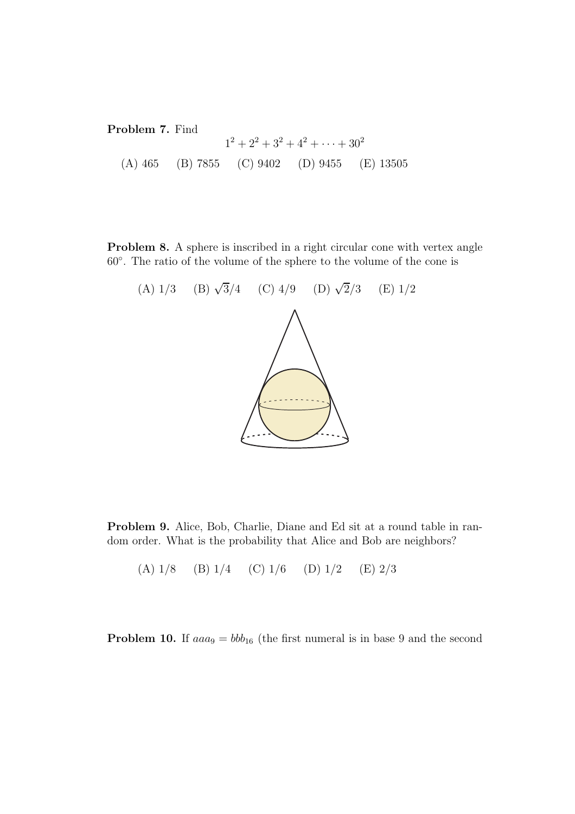## **Problem 7.** Find  $1^2 + 2^2 + 3^2 + 4^2 + \cdots + 30^2$ (A) 465 (B) 7855 (C) 9402 (D) 9455 (E) 13505

**Problem 8.** A sphere is inscribed in a right circular cone with vertex angle 60◦. The ratio of the volume of the sphere to the volume of the cone is



**Problem 9.** Alice, Bob, Charlie, Diane and Ed sit at a round table in random order. What is the probability that Alice and Bob are neighbors?

(A) 1/8 (B) 1/4 (C) 1/6 (D) 1/2 (E) 2/3

**Problem 10.** If  $aaa_9 = bbb_{16}$  (the first numeral is in base 9 and the second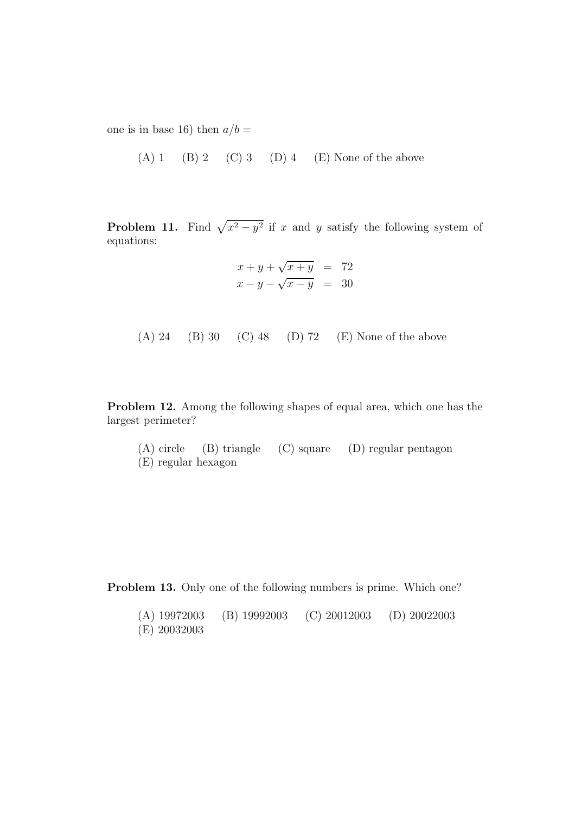one is in base 16) then  $a/b =$ 

(A) 1 (B) 2 (C) 3 (D) 4 (E) None of the above

**Problem 11.** Find  $\sqrt{x^2 - y^2}$  if x and y satisfy the following system of equations:

$$
x+y+\sqrt{x+y} = 72
$$
  

$$
x-y-\sqrt{x-y} = 30
$$

(A) 24 (B) 30 (C) 48 (D) 72 (E) None of the above

**Problem 12.** Among the following shapes of equal area, which one has the largest perimeter?

(A) circle (B) triangle (C) square (D) regular pentagon (E) regular hexagon

**Problem 13.** Only one of the following numbers is prime. Which one?

| $(A)$ 19972003 | (B) 19992003 | $(C)$ 20012003 | $(D)$ 20022003 |
|----------------|--------------|----------------|----------------|
| $(E)$ 20032003 |              |                |                |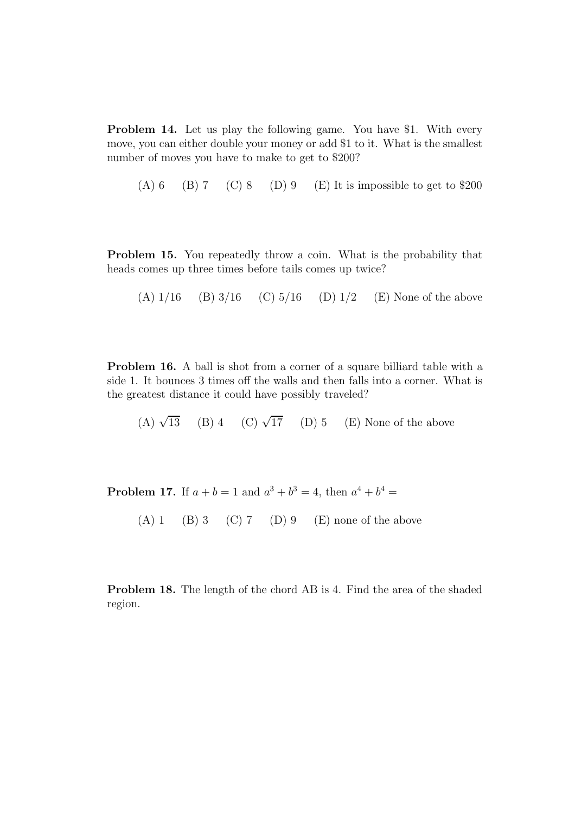**Problem 14.** Let us play the following game. You have \$1. With every move, you can either double your money or add \$1 to it. What is the smallest number of moves you have to make to get to \$200?

(A) 6 (B) 7 (C) 8 (D) 9 (E) It is impossible to get to  $$200$ 

**Problem 15.** You repeatedly throw a coin. What is the probability that heads comes up three times before tails comes up twice?

(A)  $1/16$  (B)  $3/16$  (C)  $5/16$  (D)  $1/2$  (E) None of the above

**Problem 16.** A ball is shot from a corner of a square billiard table with a side 1. It bounces 3 times off the walls and then falls into a corner. What is the greatest distance it could have possibly traveled?

(A)  $\sqrt{13}$  (B) 4 (C)  $\sqrt{17}$  (D) 5 (E) None of the above

**Problem 17.** If  $a + b = 1$  and  $a^3 + b^3 = 4$ , then  $a^4 + b^4 =$ 

(A) 1 (B) 3 (C) 7 (D) 9 (E) none of the above

**Problem 18.** The length of the chord AB is 4. Find the area of the shaded region.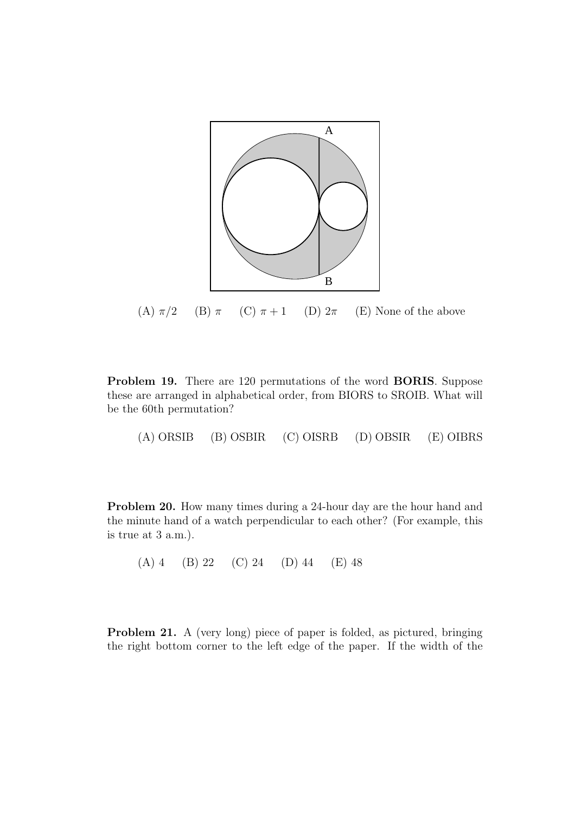

(A)  $\pi/2$  (B)  $\pi$  (C)  $\pi + 1$  (D)  $2\pi$  (E) None of the above

**Problem 19.** There are 120 permutations of the word **BORIS**. Suppose these are arranged in alphabetical order, from BIORS to SROIB. What will be the 60th permutation?

(A) ORSIB (B) OSBIR (C) OISRB (D) OBSIR (E) OIBRS

**Problem 20.** How many times during a 24-hour day are the hour hand and the minute hand of a watch perpendicular to each other? (For example, this is true at 3 a.m.).

(A) 4 (B) 22 (C) 24 (D) 44 (E) 48

**Problem 21.** A (very long) piece of paper is folded, as pictured, bringing the right bottom corner to the left edge of the paper. If the width of the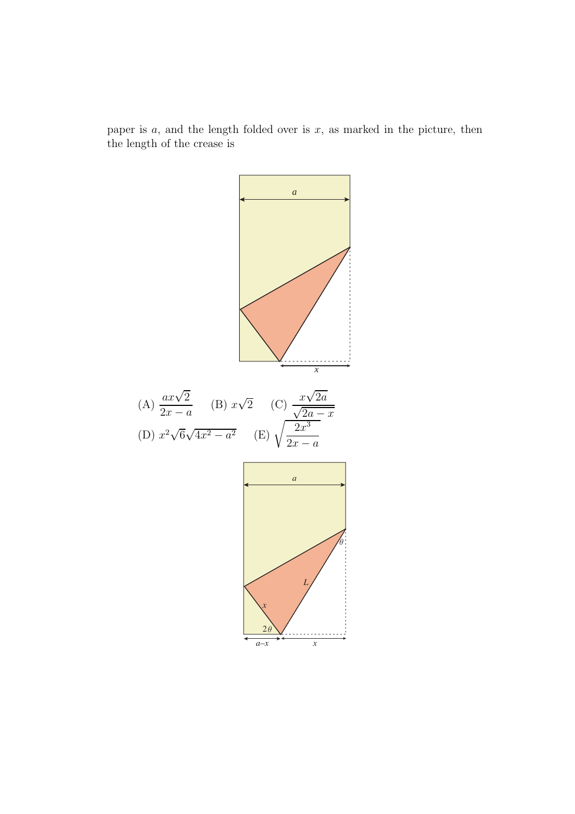paper is  $a$ , and the length folded over is  $x$ , as marked in the picture, then the length of the crease is

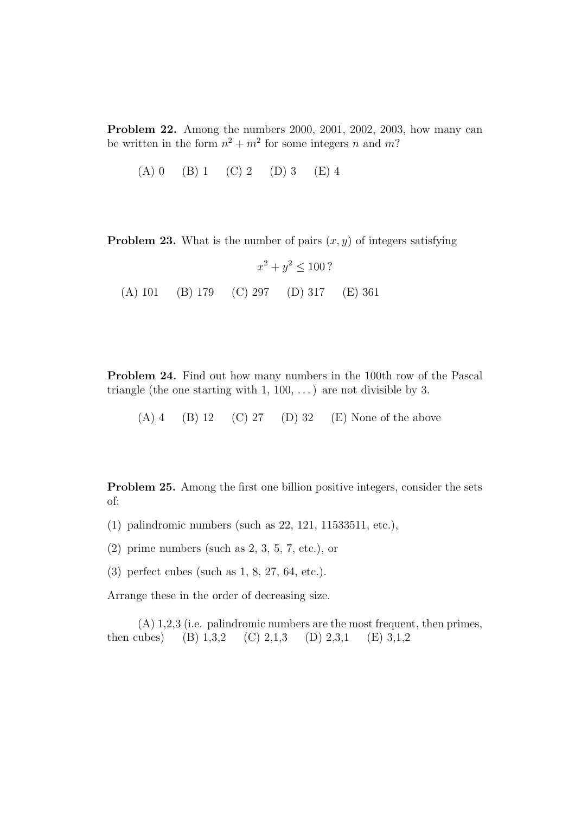**Problem 22.** Among the numbers 2000, 2001, 2002, 2003, how many can be written in the form  $n^2 + m^2$  for some integers n and m?

(A) 0 (B) 1 (C) 2 (D) 3 (E) 4

**Problem 23.** What is the number of pairs  $(x, y)$  of integers satisfying

$$
x^{2} + y^{2} \le 100?
$$
  
(A) 101 (B) 179 (C) 297 (D) 317 (E) 361

**Problem 24.** Find out how many numbers in the 100th row of the Pascal triangle (the one starting with  $1, 100, \ldots$ ) are not divisible by 3.

 $(A)$  4 (B) 12 (C) 27 (D) 32 (E) None of the above

**Problem 25.** Among the first one billion positive integers, consider the sets of:

- (1) palindromic numbers (such as 22, 121, 11533511, etc.),
- (2) prime numbers (such as 2, 3, 5, 7, etc.), or
- (3) perfect cubes (such as 1, 8, 27, 64, etc.).

Arrange these in the order of decreasing size.

(A) 1,2,3 (i.e. palindromic numbers are the most frequent, then primes, then cubes) (B) 1,3,2 (C) 2,1,3 (D) 2,3,1 (E) 3,1,2